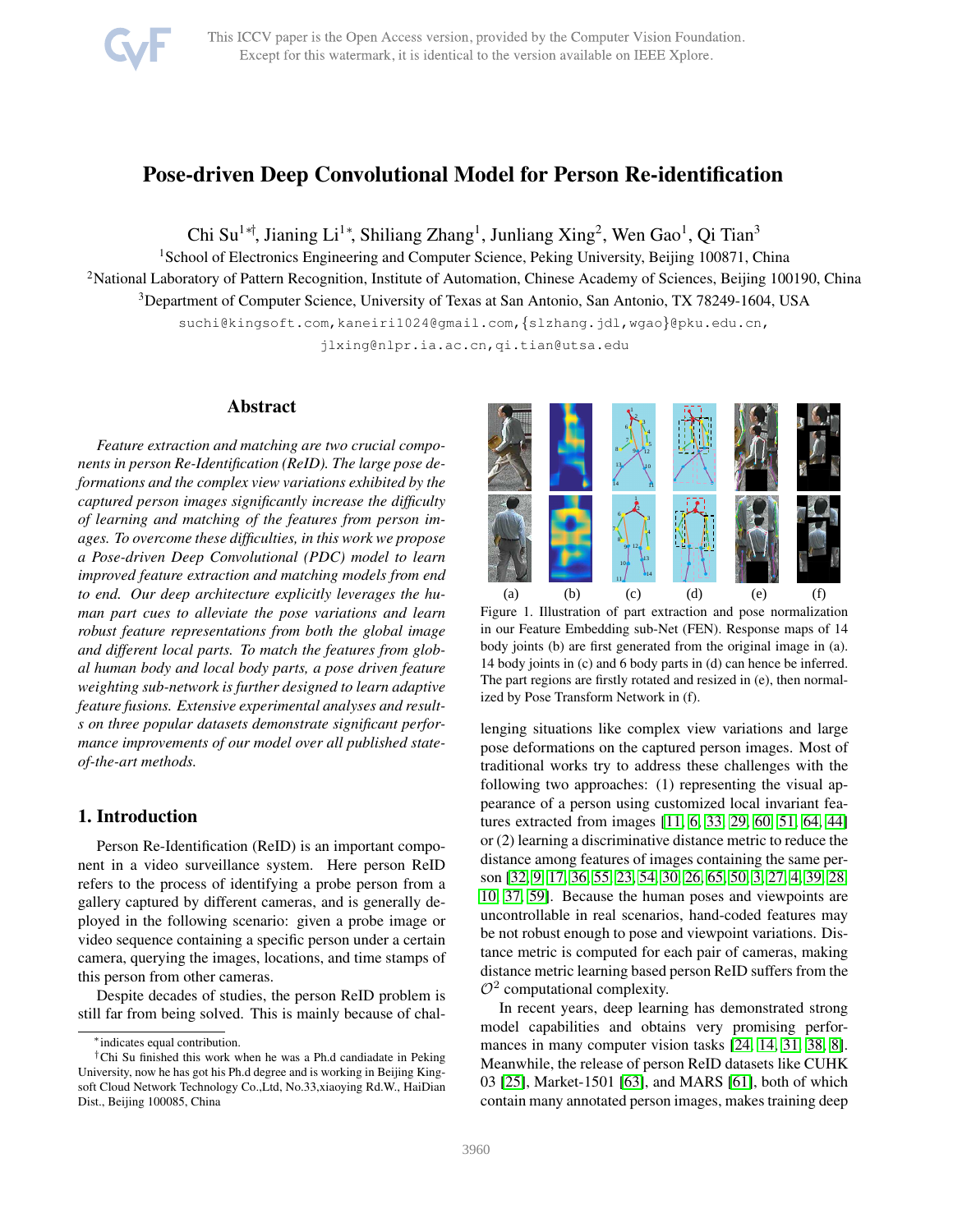

# Pose-driven Deep Convolutional Model for Person Re-identification

Chi Su<sup>1∗†</sup>, Jianing Li<sup>1∗</sup>, Shiliang Zhang<sup>1</sup>, Junliang Xing<sup>2</sup>, Wen Gao<sup>1</sup>, Qi Tian<sup>3</sup>

<sup>1</sup>School of Electronics Engineering and Computer Science, Peking University, Beijing 100871, China <sup>2</sup>National Laboratory of Pattern Recognition, Institute of Automation, Chinese Academy of Sciences, Beijing 100190, China <sup>3</sup>Department of Computer Science, University of Texas at San Antonio, San Antonio, TX 78249-1604, USA

suchi@kingsoft.com,kaneiri1024@gmail.com,{slzhang.jdl,wgao}@pku.edu.cn,

jlxing@nlpr.ia.ac.cn,qi.tian@utsa.edu

# Abstract

*Feature extraction and matching are two crucial components in person Re-Identification (ReID). The large pose deformations and the complex view variations exhibited by the captured person images significantly increase the difficulty of learning and matching of the features from person images. To overcome these difficulties, in this work we propose a Pose-driven Deep Convolutional (PDC) model to learn improved feature extraction and matching models from end to end. Our deep architecture explicitly leverages the human part cues to alleviate the pose variations and learn robust feature representations from both the global image and different local parts. To match the features from global human body and local body parts, a pose driven feature weighting sub-network is further designed to learn adaptive feature fusions. Extensive experimental analyses and results on three popular datasets demonstrate significant performance improvements of our model over all published stateof-the-art methods.*

# 1. Introduction

Person Re-Identification (ReID) is an important component in a video surveillance system. Here person ReID refers to the process of identifying a probe person from a gallery captured by different cameras, and is generally deployed in the following scenario: given a probe image or video sequence containing a specific person under a certain camera, querying the images, locations, and time stamps of this person from other cameras.

Despite decades of studies, the person ReID problem is still far from being solved. This is mainly because of chal-



<span id="page-0-0"></span>Figure 1. Illustration of part extraction and pose normalization in our Feature Embedding sub-Net (FEN). Response maps of 14 body joints (b) are first generated from the original image in (a). 14 body joints in (c) and 6 body parts in (d) can hence be inferred. The part regions are firstly rotated and resized in (e), then normalized by Pose Transform Network in (f).

lenging situations like complex view variations and large pose deformations on the captured person images. Most of traditional works try to address these challenges with the following two approaches: (1) representing the visual appearance of a person using customized local invariant features extracted from images [\[11,](#page-8-0) [6,](#page-8-1) [33,](#page-8-2) [29,](#page-8-3) [60,](#page-9-0) [51,](#page-9-1) [64,](#page-9-2) [44\]](#page-9-3) or (2) learning a discriminative distance metric to reduce the distance among features of images containing the same person [\[32,](#page-8-4) [9,](#page-8-5) [17,](#page-8-6) [36,](#page-8-7) [55,](#page-9-4) [23,](#page-8-8) [54,](#page-9-5) [30,](#page-8-9) [26,](#page-8-10) [65,](#page-9-6) [50,](#page-9-7) [3,](#page-8-11) [27,](#page-8-12) [4,](#page-8-13) [39,](#page-8-14) [28,](#page-8-15) [10,](#page-8-16) [37,](#page-8-17) [59\]](#page-9-8). Because the human poses and viewpoints are uncontrollable in real scenarios, hand-coded features may be not robust enough to pose and viewpoint variations. Distance metric is computed for each pair of cameras, making distance metric learning based person ReID suffers from the  $\mathcal{O}^2$  computational complexity.

In recent years, deep learning has demonstrated strong model capabilities and obtains very promising performances in many computer vision tasks [\[24,](#page-8-18) [14,](#page-8-19) [31,](#page-8-20) [38,](#page-8-21) [8\]](#page-8-22). Meanwhile, the release of person ReID datasets like CUHK 03 [\[25\]](#page-8-23), Market-1501 [\[63\]](#page-9-9), and MARS [\[61\]](#page-9-10), both of which contain many annotated person images, makes training deep

<sup>∗</sup>indicates equal contribution.

<sup>†</sup>Chi Su finished this work when he was a Ph.d candiadate in Peking University, now he has got his Ph.d degree and is working in Beijing Kingsoft Cloud Network Technology Co.,Ltd, No.33,xiaoying Rd.W., HaiDian Dist., Beijing 100085, China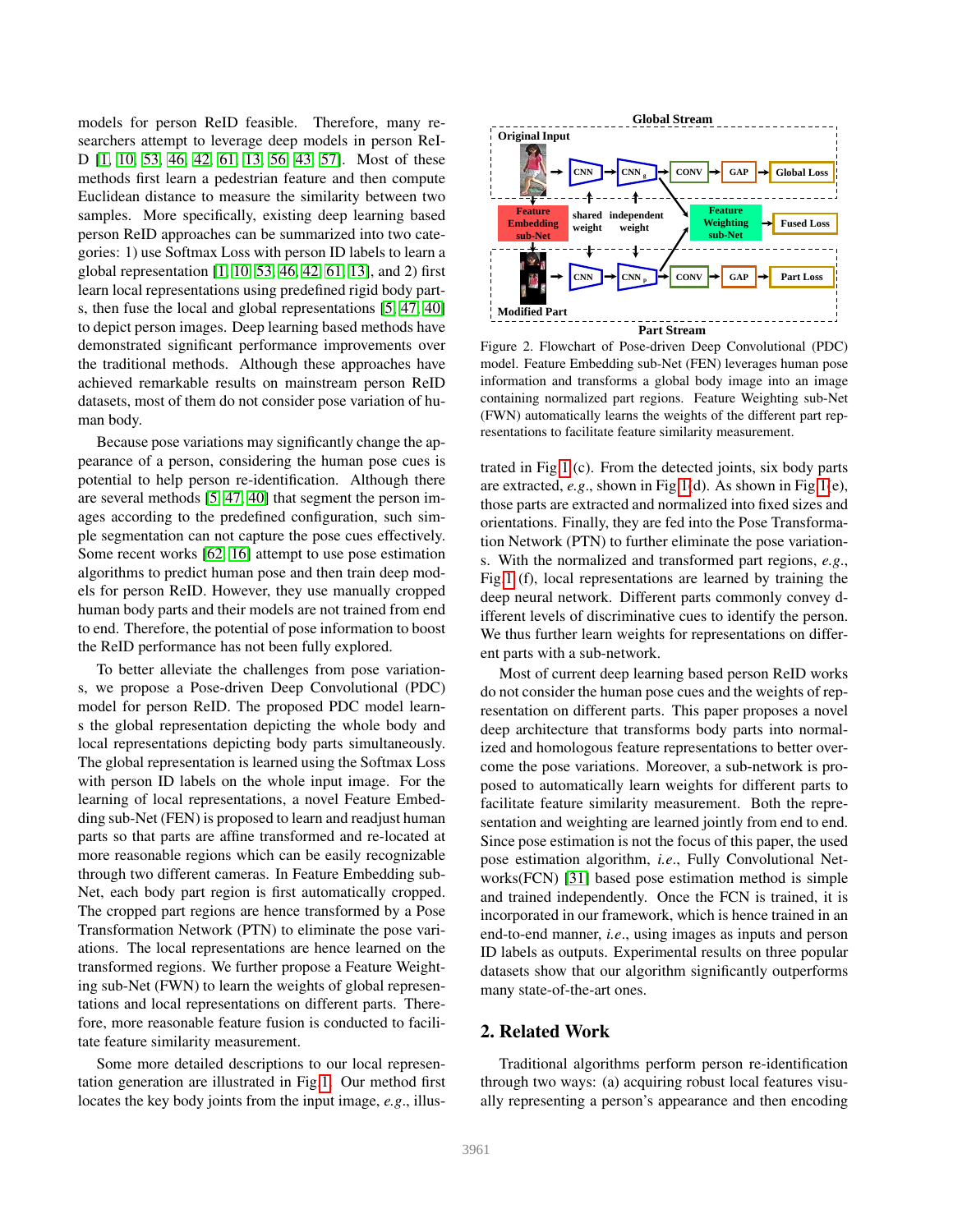models for person ReID feasible. Therefore, many researchers attempt to leverage deep models in person ReI-D [\[1,](#page-8-24) [10,](#page-8-16) [53,](#page-9-11) [46,](#page-9-12) [42,](#page-9-13) [61,](#page-9-10) [13,](#page-8-25) [56,](#page-9-14) [43,](#page-9-15) [57\]](#page-9-16). Most of these methods first learn a pedestrian feature and then compute Euclidean distance to measure the similarity between two samples. More specifically, existing deep learning based person ReID approaches can be summarized into two categories: 1) use Softmax Loss with person ID labels to learn a global representation [\[1,](#page-8-24) [10,](#page-8-16) [53,](#page-9-11) [46,](#page-9-12) [42,](#page-9-13) [61,](#page-9-10) [13\]](#page-8-25), and 2) first learn local representations using predefined rigid body parts, then fuse the local and global representations [\[5,](#page-8-26) [47,](#page-9-17) [40\]](#page-9-18) to depict person images. Deep learning based methods have demonstrated significant performance improvements over the traditional methods. Although these approaches have achieved remarkable results on mainstream person ReID datasets, most of them do not consider pose variation of human body.

Because pose variations may significantly change the appearance of a person, considering the human pose cues is potential to help person re-identification. Although there are several methods [\[5,](#page-8-26) [47,](#page-9-17) [40\]](#page-9-18) that segment the person images according to the predefined configuration, such simple segmentation can not capture the pose cues effectively. Some recent works [\[62,](#page-9-19) [16\]](#page-8-27) attempt to use pose estimation algorithms to predict human pose and then train deep models for person ReID. However, they use manually cropped human body parts and their models are not trained from end to end. Therefore, the potential of pose information to boost the ReID performance has not been fully explored.

To better alleviate the challenges from pose variations, we propose a Pose-driven Deep Convolutional (PDC) model for person ReID. The proposed PDC model learns the global representation depicting the whole body and local representations depicting body parts simultaneously. The global representation is learned using the Softmax Loss with person ID labels on the whole input image. For the learning of local representations, a novel Feature Embedding sub-Net (FEN) is proposed to learn and readjust human parts so that parts are affine transformed and re-located at more reasonable regions which can be easily recognizable through two different cameras. In Feature Embedding sub-Net, each body part region is first automatically cropped. The cropped part regions are hence transformed by a Pose Transformation Network (PTN) to eliminate the pose variations. The local representations are hence learned on the transformed regions. We further propose a Feature Weighting sub-Net (FWN) to learn the weights of global representations and local representations on different parts. Therefore, more reasonable feature fusion is conducted to facilitate feature similarity measurement.

Some more detailed descriptions to our local representation generation are illustrated in Fig[.1.](#page-0-0) Our method first locates the key body joints from the input image, *e.g*., illus-



<span id="page-1-0"></span>Figure 2. Flowchart of Pose-driven Deep Convolutional (PDC) model. Feature Embedding sub-Net (FEN) leverages human pose information and transforms a global body image into an image containing normalized part regions. Feature Weighting sub-Net (FWN) automatically learns the weights of the different part representations to facilitate feature similarity measurement.

trated in Fig[.1](#page-0-0) (c). From the detected joints, six body parts are extracted, *e.g*., shown in Fig[.1\(](#page-0-0)d). As shown in Fig[.1\(](#page-0-0)e), those parts are extracted and normalized into fixed sizes and orientations. Finally, they are fed into the Pose Transformation Network (PTN) to further eliminate the pose variations. With the normalized and transformed part regions, *e.g*., Fig[.1](#page-0-0) (f), local representations are learned by training the deep neural network. Different parts commonly convey different levels of discriminative cues to identify the person. We thus further learn weights for representations on different parts with a sub-network.

Most of current deep learning based person ReID works do not consider the human pose cues and the weights of representation on different parts. This paper proposes a novel deep architecture that transforms body parts into normalized and homologous feature representations to better overcome the pose variations. Moreover, a sub-network is proposed to automatically learn weights for different parts to facilitate feature similarity measurement. Both the representation and weighting are learned jointly from end to end. Since pose estimation is not the focus of this paper, the used pose estimation algorithm, *i.e*., Fully Convolutional Networks(FCN) [\[31\]](#page-8-20) based pose estimation method is simple and trained independently. Once the FCN is trained, it is incorporated in our framework, which is hence trained in an end-to-end manner, *i.e*., using images as inputs and person ID labels as outputs. Experimental results on three popular datasets show that our algorithm significantly outperforms many state-of-the-art ones.

# 2. Related Work

Traditional algorithms perform person re-identification through two ways: (a) acquiring robust local features visually representing a person's appearance and then encoding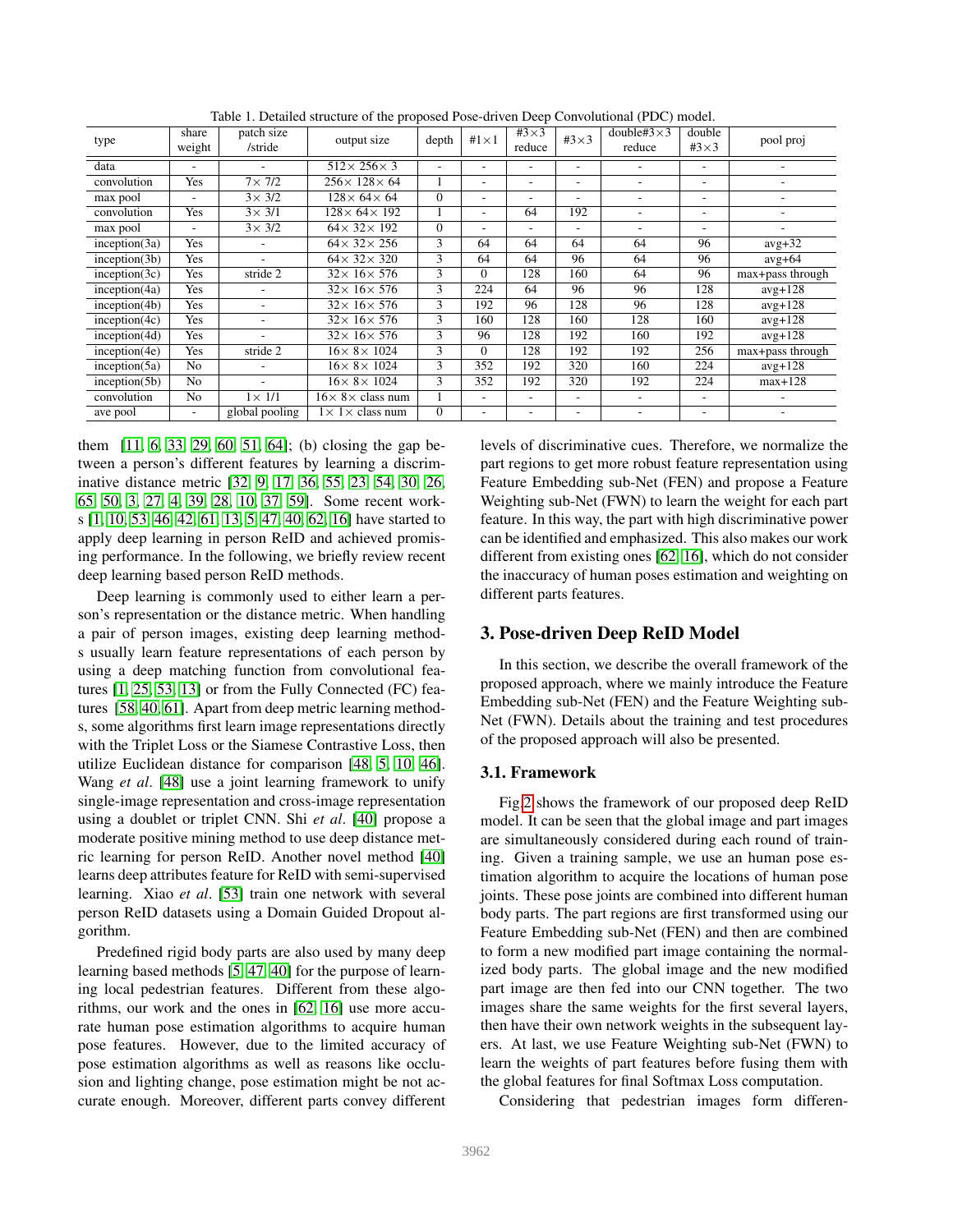| type                         | share<br>weight          | patch size<br>/stride | --- r--r<br>output size        | depth    | $#1 \times 1$            | $#3\times3$<br>reduce | $#3\times3$ | double# $3 \times 3$<br>reduce | double<br>$#3\times3$ | pool proj        |
|------------------------------|--------------------------|-----------------------|--------------------------------|----------|--------------------------|-----------------------|-------------|--------------------------------|-----------------------|------------------|
| data                         |                          |                       | $512\times 256\times 3$        |          |                          |                       |             |                                | ۰                     |                  |
| convolution                  | Yes                      | $7\times 7/2$         | $256 \times 128 \times 64$     |          | $\overline{\phantom{a}}$ | ۰                     | -           | ۰                              | ۰                     |                  |
| max pool                     |                          | $3\times 3/2$         | $128\times 64\times 64$        | $\Omega$ |                          |                       | -           |                                | ۰                     |                  |
| convolution                  | Yes                      | $3\times 3/1$         | $128 \times 64 \times 192$     |          | $\overline{\phantom{a}}$ | 64                    | 192         | $\overline{\phantom{a}}$       | ۰                     |                  |
| max pool                     | ۰                        | $3\times 3/2$         | $64 \times 32 \times 192$      | $\Omega$ | $\overline{\phantom{a}}$ | ۰                     | ۰           | $\overline{\phantom{a}}$       | ٠                     |                  |
| inception(3a)                | Yes                      |                       | $64 \times 32 \times 256$      | 3        | 64                       | 64                    | 64          | 64                             | 96                    | $avg + 32$       |
| inception(3b)                | Yes                      |                       | $64 \times 32 \times 320$      | 3        | 64                       | 64                    | 96          | 64                             | 96                    | $avg+64$         |
| inception(3c)                | Yes                      | stride 2              | $32 \times 16 \times 576$      | 3        | $\Omega$                 | 128                   | 160         | 64                             | 96                    | max+pass through |
| inception(4a)                | Yes                      |                       | $32 \times 16 \times 576$      | 3        | 224                      | 64                    | 96          | 96                             | 128                   | $avg+128$        |
| inception( $\overline{4b}$ ) | Yes                      |                       | $32 \times 16 \times 576$      | 3        | 192                      | 96                    | 128         | 96                             | 128                   | $avg+128$        |
| inception(4c)                | Yes                      |                       | $32 \times 16 \times 576$      | 3        | 160                      | 128                   | 160         | 128                            | 160                   | $avg+128$        |
| inception(4d)                | Yes                      |                       | $32 \times 16 \times 576$      | 3        | 96                       | 128                   | 192         | 160                            | 192                   | $avg+128$        |
| inception(4e)                | Yes                      | stride 2              | $16 \times 8 \times 1024$      | 3        | $\Omega$                 | 128                   | 192         | 192                            | 256                   | max+pass through |
| inception(5a)                | N <sub>o</sub>           |                       | $16 \times 8 \times 1024$      | 3        | 352                      | 192                   | 320         | 160                            | 224                   | $avg+128$        |
| inception(5b)                | N <sub>0</sub>           |                       | $16 \times 8 \times 1024$      | 3        | 352                      | 192                   | 320         | 192                            | 224                   | $max+128$        |
| convolution                  | No                       | $1 \times 1/1$        | $16 \times 8 \times$ class num |          | $\overline{\phantom{a}}$ | ٠                     | ۰           | $\overline{\phantom{a}}$       | ۰                     |                  |
| ave pool                     | $\overline{\phantom{0}}$ | global pooling        | $1 \times 1 \times$ class num  | $\Omega$ |                          | ۰                     | -           |                                | ۰                     |                  |

<span id="page-2-0"></span>Table 1. Detailed structure of the proposed Pose-driven Deep Convolutional (PDC) model.

them [\[11,](#page-8-0) [6,](#page-8-1) [33,](#page-8-2) [29,](#page-8-3) [60,](#page-9-0) [51,](#page-9-1) [64\]](#page-9-2); (b) closing the gap between a person's different features by learning a discriminative distance metric [\[32,](#page-8-4) [9,](#page-8-5) [17,](#page-8-6) [36,](#page-8-7) [55,](#page-9-4) [23,](#page-8-8) [54,](#page-9-5) [30,](#page-8-9) [26,](#page-8-10) [65,](#page-9-6) [50,](#page-9-7) [3,](#page-8-11) [27,](#page-8-12) [4,](#page-8-13) [39,](#page-8-14) [28,](#page-8-15) [10,](#page-8-16) [37,](#page-8-17) [59\]](#page-9-8). Some recent works [\[1,](#page-8-24) [10,](#page-8-16) [53,](#page-9-11) [46,](#page-9-12) [42,](#page-9-13) [61,](#page-9-10) [13,](#page-8-25) [5,](#page-8-26) [47,](#page-9-17) [40,](#page-9-18) [62,](#page-9-19) [16\]](#page-8-27) have started to apply deep learning in person ReID and achieved promising performance. In the following, we briefly review recent deep learning based person ReID methods.

Deep learning is commonly used to either learn a person's representation or the distance metric. When handling a pair of person images, existing deep learning methods usually learn feature representations of each person by using a deep matching function from convolutional features [\[1,](#page-8-24) [25,](#page-8-23) [53,](#page-9-11) [13\]](#page-8-25) or from the Fully Connected (FC) features [\[58,](#page-9-20) [40,](#page-9-18) [61\]](#page-9-10). Apart from deep metric learning methods, some algorithms first learn image representations directly with the Triplet Loss or the Siamese Contrastive Loss, then utilize Euclidean distance for comparison [\[48,](#page-9-21) [5,](#page-8-26) [10,](#page-8-16) [46\]](#page-9-12). Wang *et al*. [\[48\]](#page-9-21) use a joint learning framework to unify single-image representation and cross-image representation using a doublet or triplet CNN. Shi *et al*. [\[40\]](#page-9-18) propose a moderate positive mining method to use deep distance metric learning for person ReID. Another novel method [\[40\]](#page-9-18) learns deep attributes feature for ReID with semi-supervised learning. Xiao *et al*. [\[53\]](#page-9-11) train one network with several person ReID datasets using a Domain Guided Dropout algorithm.

Predefined rigid body parts are also used by many deep learning based methods [\[5,](#page-8-26) [47,](#page-9-17) [40\]](#page-9-18) for the purpose of learning local pedestrian features. Different from these algorithms, our work and the ones in [\[62,](#page-9-19) [16\]](#page-8-27) use more accurate human pose estimation algorithms to acquire human pose features. However, due to the limited accuracy of pose estimation algorithms as well as reasons like occlusion and lighting change, pose estimation might be not accurate enough. Moreover, different parts convey different levels of discriminative cues. Therefore, we normalize the part regions to get more robust feature representation using Feature Embedding sub-Net (FEN) and propose a Feature Weighting sub-Net (FWN) to learn the weight for each part feature. In this way, the part with high discriminative power can be identified and emphasized. This also makes our work different from existing ones [\[62,](#page-9-19) [16\]](#page-8-27), which do not consider the inaccuracy of human poses estimation and weighting on different parts features.

# 3. Pose-driven Deep ReID Model

In this section, we describe the overall framework of the proposed approach, where we mainly introduce the Feature Embedding sub-Net (FEN) and the Feature Weighting sub-Net (FWN). Details about the training and test procedures of the proposed approach will also be presented.

# 3.1. Framework

Fig[.2](#page-1-0) shows the framework of our proposed deep ReID model. It can be seen that the global image and part images are simultaneously considered during each round of training. Given a training sample, we use an human pose estimation algorithm to acquire the locations of human pose joints. These pose joints are combined into different human body parts. The part regions are first transformed using our Feature Embedding sub-Net (FEN) and then are combined to form a new modified part image containing the normalized body parts. The global image and the new modified part image are then fed into our CNN together. The two images share the same weights for the first several layers, then have their own network weights in the subsequent layers. At last, we use Feature Weighting sub-Net (FWN) to learn the weights of part features before fusing them with the global features for final Softmax Loss computation.

Considering that pedestrian images form differen-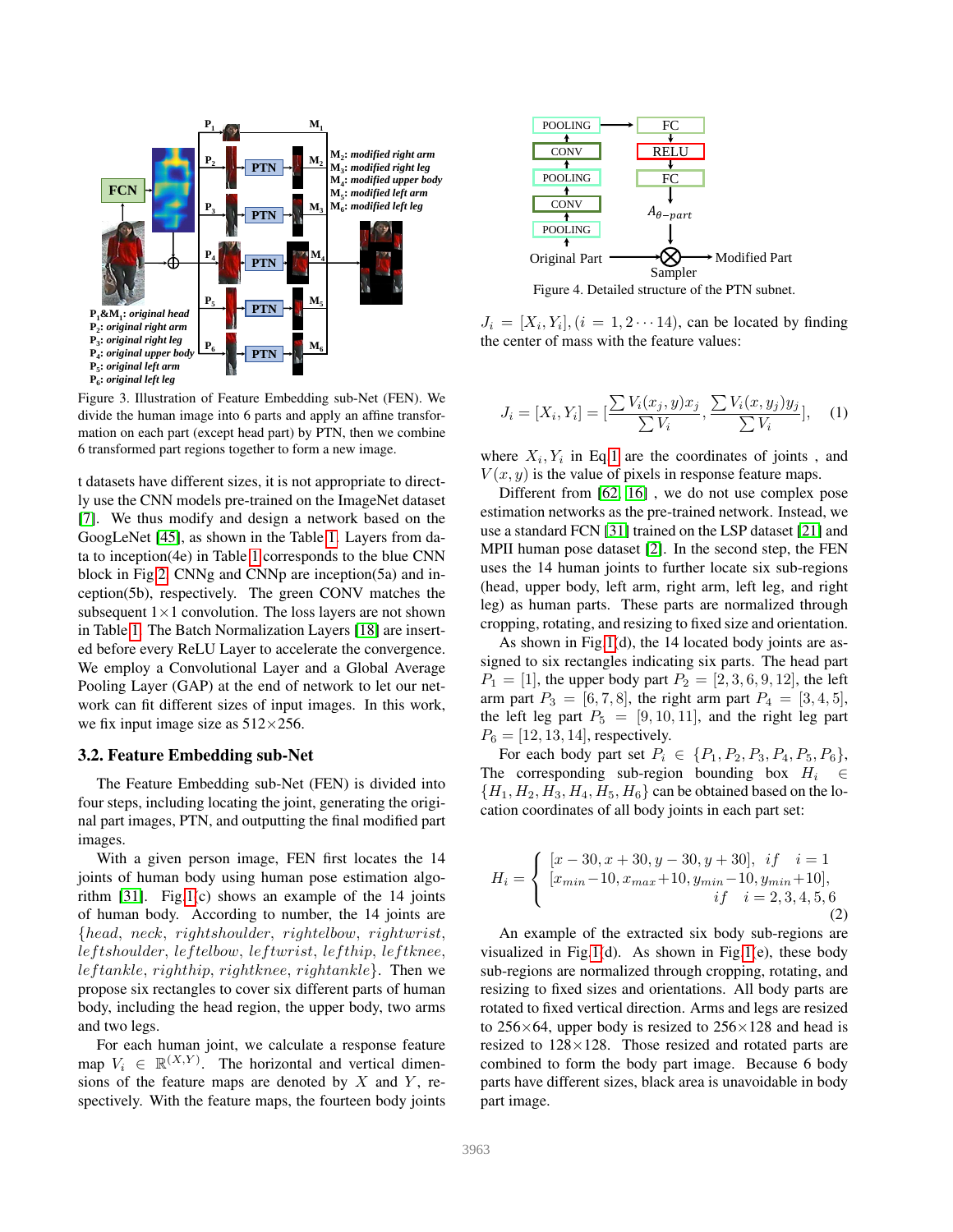

<span id="page-3-1"></span>Figure 3. Illustration of Feature Embedding sub-Net (FEN). We divide the human image into 6 parts and apply an affine transformation on each part (except head part) by PTN, then we combine 6 transformed part regions together to form a new image.

t datasets have different sizes, it is not appropriate to directly use the CNN models pre-trained on the ImageNet dataset [\[7\]](#page-8-28). We thus modify and design a network based on the GoogLeNet [\[45\]](#page-9-22), as shown in the Table [1.](#page-2-0) Layers from data to inception(4e) in Table [1](#page-2-0) corresponds to the blue CNN block in Fig[.2,](#page-1-0) CNNg and CNNp are inception(5a) and inception(5b), respectively. The green CONV matches the subsequent  $1\times1$  convolution. The loss layers are not shown in Table [1.](#page-2-0) The Batch Normalization Layers [\[18\]](#page-8-29) are inserted before every ReLU Layer to accelerate the convergence. We employ a Convolutional Layer and a Global Average Pooling Layer (GAP) at the end of network to let our network can fit different sizes of input images. In this work, we fix input image size as  $512\times256$ .

#### 3.2. Feature Embedding sub-Net

The Feature Embedding sub-Net (FEN) is divided into four steps, including locating the joint, generating the original part images, PTN, and outputting the final modified part images.

With a given person image, FEN first locates the 14 joints of human body using human pose estimation algorithm  $[31]$ . Fig[.1\(](#page-0-0)c) shows an example of the 14 joints of human body. According to number, the 14 joints are {head, neck, rightshoulder, rightelbow, rightwrist,  $leftblack$ , leftelbow, leftwrist, lefthip, leftknee,  $leftankle$ , righthip, rightknee, rightankle}. Then we propose six rectangles to cover six different parts of human body, including the head region, the upper body, two arms and two legs.

For each human joint, we calculate a response feature map  $V_i \in \mathbb{R}^{(X,Y)}$ . The horizontal and vertical dimensions of the feature maps are denoted by  $X$  and  $Y$ , respectively. With the feature maps, the fourteen body joints



Figure 4. Detailed structure of the PTN subnet.

 $J_i = [X_i, Y_i], (i = 1, 2 \cdots 14)$ , can be located by finding the center of mass with the feature values:

<span id="page-3-0"></span>
$$
J_i = [X_i, Y_i] = \left[\frac{\sum V_i(x_j, y)x_j}{\sum V_i}, \frac{\sum V_i(x, y_j)y_j}{\sum V_i}\right], \quad (1)
$$

where  $X_i, Y_i$  in Eq[.1](#page-3-0) are the coordinates of joints, and  $V(x, y)$  is the value of pixels in response feature maps.

Different from [\[62,](#page-9-19) [16\]](#page-8-27) , we do not use complex pose estimation networks as the pre-trained network. Instead, we use a standard FCN [\[31\]](#page-8-20) trained on the LSP dataset [\[21\]](#page-8-30) and MPII human pose dataset [\[2\]](#page-8-31). In the second step, the FEN uses the 14 human joints to further locate six sub-regions (head, upper body, left arm, right arm, left leg, and right leg) as human parts. These parts are normalized through cropping, rotating, and resizing to fixed size and orientation.

As shown in Fig[.1\(](#page-0-0)d), the 14 located body joints are assigned to six rectangles indicating six parts. The head part  $P_1 = [1]$ , the upper body part  $P_2 = [2, 3, 6, 9, 12]$ , the left arm part  $P_3 = [6, 7, 8]$ , the right arm part  $P_4 = [3, 4, 5]$ , the left leg part  $P_5 = [9, 10, 11]$ , and the right leg part  $P_6 = [12, 13, 14]$ , respectively.

For each body part set  $P_i \in \{P_1, P_2, P_3, P_4, P_5, P_6\}$ , The corresponding sub-region bounding box  $H_i \in$  ${H_1, H_2, H_3, H_4, H_5, H_6}$  can be obtained based on the location coordinates of all body joints in each part set:

$$
H_i = \begin{cases} [x - 30, x + 30, y - 30, y + 30], & if \quad i = 1\\ [x_{min} - 10, x_{max} + 10, y_{min} - 10, y_{min} + 10], & if \quad i = 2, 3, 4, 5, 6\\ (2) \end{cases}
$$

An example of the extracted six body sub-regions are visualized in Fig[.1\(](#page-0-0)d). As shown in Fig.1(e), these body sub-regions are normalized through cropping, rotating, and resizing to fixed sizes and orientations. All body parts are rotated to fixed vertical direction. Arms and legs are resized to  $256\times64$ , upper body is resized to  $256\times128$  and head is resized to  $128 \times 128$ . Those resized and rotated parts are combined to form the body part image. Because 6 body parts have different sizes, black area is unavoidable in body part image.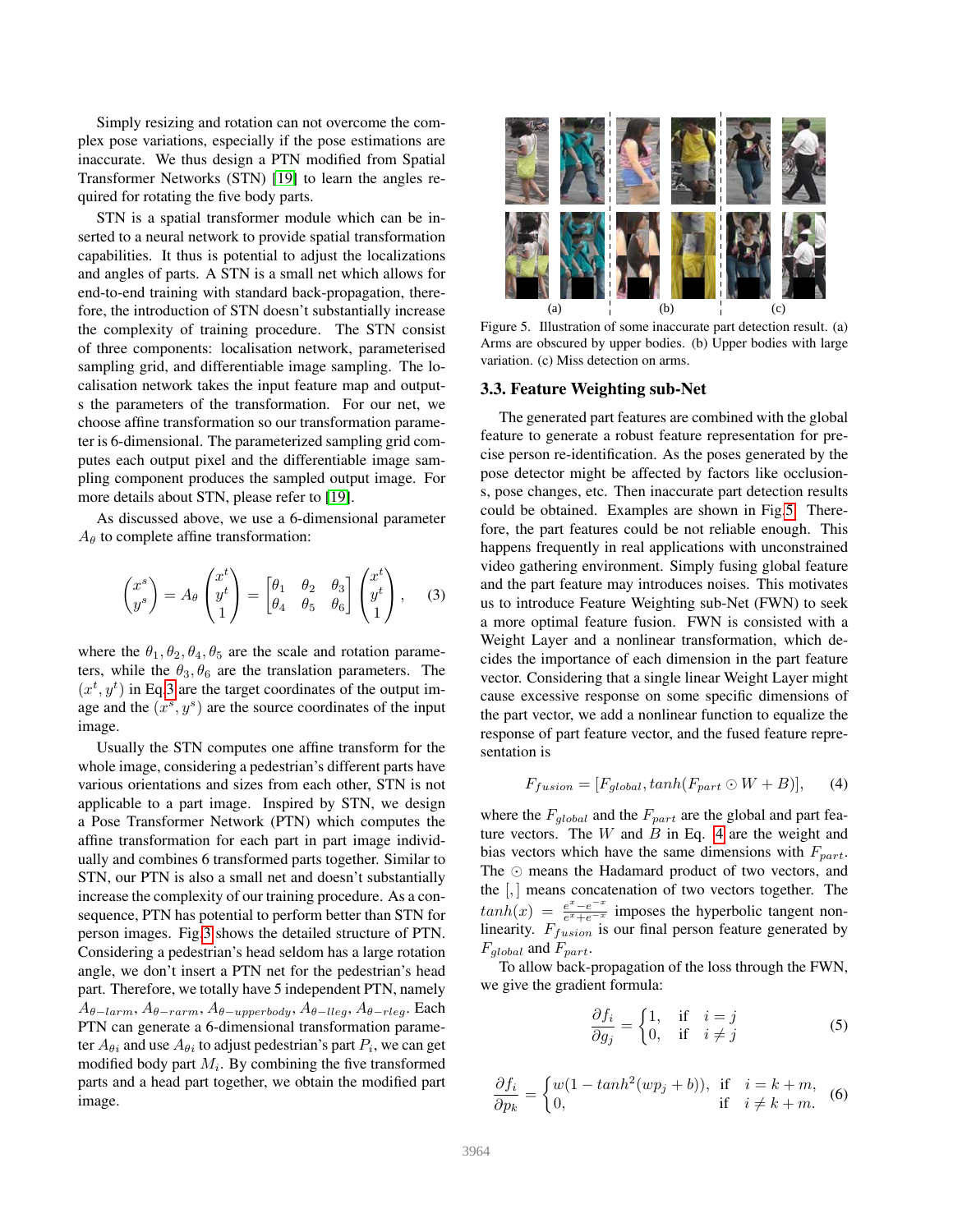Simply resizing and rotation can not overcome the complex pose variations, especially if the pose estimations are inaccurate. We thus design a PTN modified from Spatial Transformer Networks (STN) [\[19\]](#page-8-32) to learn the angles required for rotating the five body parts.

STN is a spatial transformer module which can be inserted to a neural network to provide spatial transformation capabilities. It thus is potential to adjust the localizations and angles of parts. A STN is a small net which allows for end-to-end training with standard back-propagation, therefore, the introduction of STN doesn't substantially increase the complexity of training procedure. The STN consist of three components: localisation network, parameterised sampling grid, and differentiable image sampling. The localisation network takes the input feature map and outputs the parameters of the transformation. For our net, we choose affine transformation so our transformation parameter is 6-dimensional. The parameterized sampling grid computes each output pixel and the differentiable image sampling component produces the sampled output image. For more details about STN, please refer to [\[19\]](#page-8-32).

As discussed above, we use a 6-dimensional parameter  $A_{\theta}$  to complete affine transformation:

<span id="page-4-0"></span>
$$
\begin{pmatrix} x^s \\ y^s \end{pmatrix} = A_\theta \begin{pmatrix} x^t \\ y^t \\ 1 \end{pmatrix} = \begin{bmatrix} \theta_1 & \theta_2 & \theta_3 \\ \theta_4 & \theta_5 & \theta_6 \end{bmatrix} \begin{pmatrix} x^t \\ y^t \\ 1 \end{pmatrix}, \quad (3)
$$

where the  $\theta_1, \theta_2, \theta_4, \theta_5$  are the scale and rotation parameters, while the  $\theta_3$ ,  $\theta_6$  are the translation parameters. The  $(x<sup>t</sup>, y<sup>t</sup>)$  in Eq[.3](#page-4-0) are the target coordinates of the output image and the  $(x^s, y^s)$  are the source coordinates of the input image.

Usually the STN computes one affine transform for the whole image, considering a pedestrian's different parts have various orientations and sizes from each other, STN is not applicable to a part image. Inspired by STN, we design a Pose Transformer Network (PTN) which computes the affine transformation for each part in part image individually and combines 6 transformed parts together. Similar to STN, our PTN is also a small net and doesn't substantially increase the complexity of our training procedure. As a consequence, PTN has potential to perform better than STN for person images. Fig[.3](#page-3-1) shows the detailed structure of PTN. Considering a pedestrian's head seldom has a large rotation angle, we don't insert a PTN net for the pedestrian's head part. Therefore, we totally have 5 independent PTN, namely  $A_{\theta-larm}, A_{\theta-ram}, A_{\theta-upperbody}, A_{\theta-lleg}, A_{\theta-rleg}$ . Each PTN can generate a 6-dimensional transformation parameter  $A_{\theta i}$  and use  $A_{\theta i}$  to adjust pedestrian's part  $P_i$ , we can get modified body part  $M_i$ . By combining the five transformed parts and a head part together, we obtain the modified part image.



Figure 5. Illustration of some inaccurate part detection result. (a) Arms are obscured by upper bodies. (b) Upper bodies with large variation. (c) Miss detection on arms.

#### <span id="page-4-1"></span>3.3. Feature Weighting sub-Net

The generated part features are combined with the global feature to generate a robust feature representation for precise person re-identification. As the poses generated by the pose detector might be affected by factors like occlusions, pose changes, etc. Then inaccurate part detection results could be obtained. Examples are shown in Fig[.5.](#page-4-1) Therefore, the part features could be not reliable enough. This happens frequently in real applications with unconstrained video gathering environment. Simply fusing global feature and the part feature may introduces noises. This motivates us to introduce Feature Weighting sub-Net (FWN) to seek a more optimal feature fusion. FWN is consisted with a Weight Layer and a nonlinear transformation, which decides the importance of each dimension in the part feature vector. Considering that a single linear Weight Layer might cause excessive response on some specific dimensions of the part vector, we add a nonlinear function to equalize the response of part feature vector, and the fused feature representation is

<span id="page-4-2"></span>
$$
F_{fusion} = [F_{global}, tanh(F_{part} \odot W + B)], \quad (4)
$$

where the  $F_{global}$  and the  $F_{part}$  are the global and part feature vectors. The  $W$  and  $B$  in Eq. [4](#page-4-2) are the weight and bias vectors which have the same dimensions with  $F_{part}$ . The ⊙ means the Hadamard product of two vectors, and the  $\left[ , \right]$  means concatenation of two vectors together. The  $tanh(x) = \frac{e^x - e^{-x}}{e^x + e^{-x}}$  $\frac{e^x-e^{-x}}{e^x+e^{-x}}$  imposes the hyperbolic tangent nonlinearity.  $F_{fusion}$  is our final person feature generated by  $F_{global}$  and  $F_{part}$ .

To allow back-propagation of the loss through the FWN, we give the gradient formula:

$$
\frac{\partial f_i}{\partial g_j} = \begin{cases} 1, & \text{if } i = j \\ 0, & \text{if } i \neq j \end{cases}
$$
 (5)

$$
\frac{\partial f_i}{\partial p_k} = \begin{cases} w(1 - \tanh^2(wp_j + b)), & \text{if } i = k + m, \\ 0, & \text{if } i \neq k + m. \end{cases}
$$
 (6)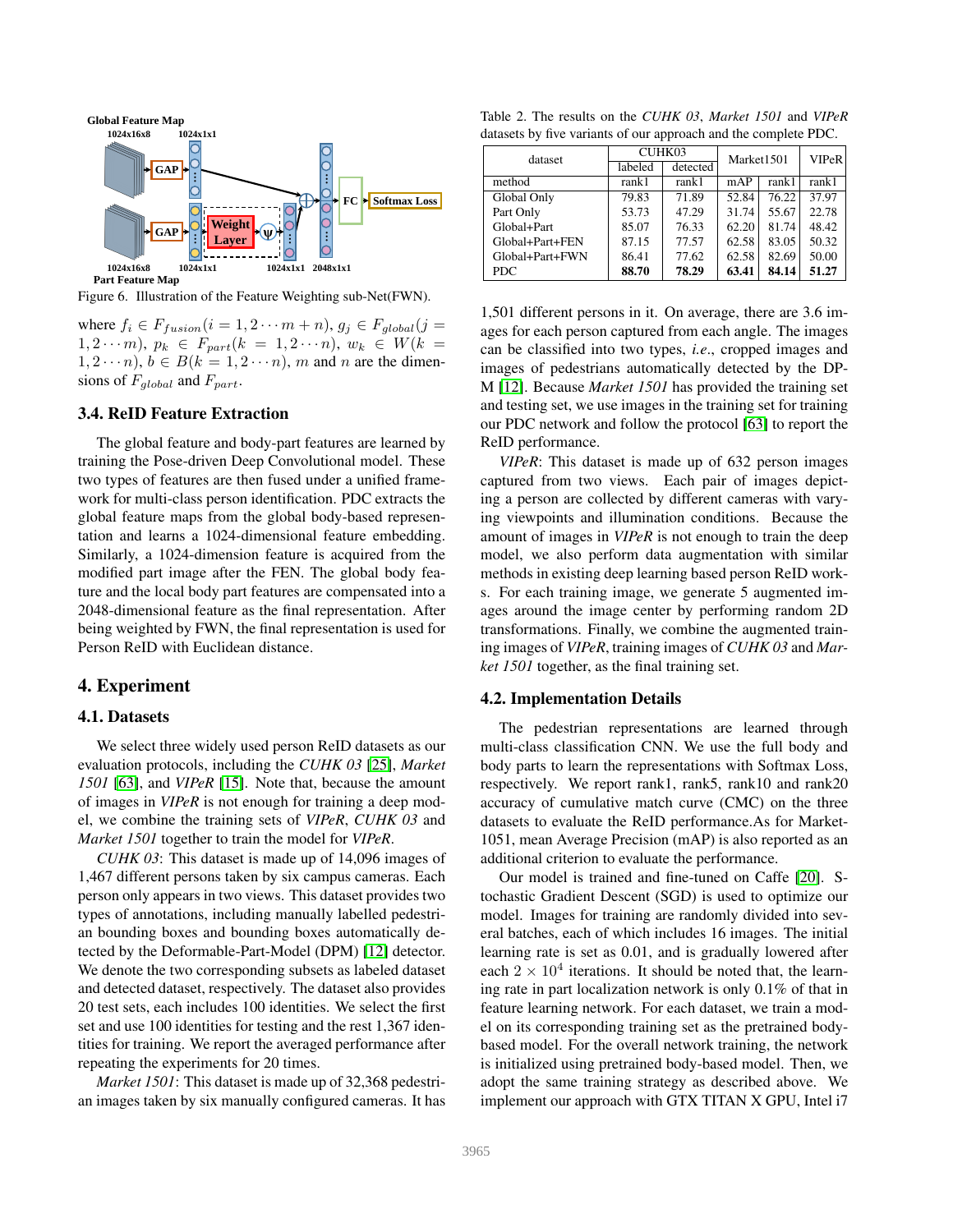

Figure 6. Illustration of the Feature Weighting sub-Net(FWN).

where  $f_i \in F_{fusion}(i = 1, 2 \cdots m + n)$ ,  $g_j \in F_{global}(j = 1, 2 \cdots m + n)$  $1, 2 \cdots m$ ),  $p_k \in F_{part}(k = 1, 2 \cdots n)$ ,  $w_k \in W(k = 1, 2 \cdots n)$  $1, 2 \cdots n$ ,  $b \in B(k = 1, 2 \cdots n)$ , m and n are the dimensions of  $F_{global}$  and  $F_{part}$ .

### 3.4. ReID Feature Extraction

The global feature and body-part features are learned by training the Pose-driven Deep Convolutional model. These two types of features are then fused under a unified framework for multi-class person identification. PDC extracts the global feature maps from the global body-based representation and learns a 1024-dimensional feature embedding. Similarly, a 1024-dimension feature is acquired from the modified part image after the FEN. The global body feature and the local body part features are compensated into a 2048-dimensional feature as the final representation. After being weighted by FWN, the final representation is used for Person ReID with Euclidean distance.

#### 4. Experiment

# 4.1. Datasets

We select three widely used person ReID datasets as our evaluation protocols, including the *CUHK 03* [\[25\]](#page-8-23), *Market 1501* [\[63\]](#page-9-9), and *VIPeR* [\[15\]](#page-8-33). Note that, because the amount of images in *VIPeR* is not enough for training a deep model, we combine the training sets of *VIPeR*, *CUHK 03* and *Market 1501* together to train the model for *VIPeR*.

*CUHK 03*: This dataset is made up of 14,096 images of 1,467 different persons taken by six campus cameras. Each person only appears in two views. This dataset provides two types of annotations, including manually labelled pedestrian bounding boxes and bounding boxes automatically detected by the Deformable-Part-Model (DPM) [\[12\]](#page-8-34) detector. We denote the two corresponding subsets as labeled dataset and detected dataset, respectively. The dataset also provides 20 test sets, each includes 100 identities. We select the first set and use 100 identities for testing and the rest 1,367 identities for training. We report the averaged performance after repeating the experiments for 20 times.

*Market 1501*: This dataset is made up of 32,368 pedestrian images taken by six manually configured cameras. It has

<span id="page-5-0"></span>Table 2. The results on the *CUHK 03*, *Market 1501* and *VIPeR* datasets by five variants of our approach and the complete PDC.

| dataset         | CUHK03  |          | Market1501 | <b>VIPeR</b> |       |
|-----------------|---------|----------|------------|--------------|-------|
|                 | labeled | detected |            |              |       |
| method          | rank1   | rank1    | mAP        | rank1        | rank1 |
| Global Only     | 79.83   | 71.89    | 52.84      | 76.22        | 37.97 |
| Part Only       | 53.73   | 47.29    | 31.74      | 55.67        | 22.78 |
| Global+Part     | 85.07   | 76.33    | 62.20      | 81.74        | 48.42 |
| Global+Part+FEN | 87.15   | 77.57    | 62.58      | 83.05        | 50.32 |
| Global+Part+FWN | 86.41   | 77.62    | 62.58      | 82.69        | 50.00 |
| <b>PDC</b>      | 88.70   | 78.29    | 63.41      | 84.14        | 51.27 |

1,501 different persons in it. On average, there are 3.6 images for each person captured from each angle. The images can be classified into two types, *i.e*., cropped images and images of pedestrians automatically detected by the DP-M [\[12\]](#page-8-34). Because *Market 1501* has provided the training set and testing set, we use images in the training set for training our PDC network and follow the protocol [\[63\]](#page-9-9) to report the ReID performance.

*VIPeR*: This dataset is made up of 632 person images captured from two views. Each pair of images depicting a person are collected by different cameras with varying viewpoints and illumination conditions. Because the amount of images in *VIPeR* is not enough to train the deep model, we also perform data augmentation with similar methods in existing deep learning based person ReID works. For each training image, we generate 5 augmented images around the image center by performing random 2D transformations. Finally, we combine the augmented training images of *VIPeR*, training images of *CUHK 03* and *Market 1501* together, as the final training set.

# 4.2. Implementation Details

The pedestrian representations are learned through multi-class classification CNN. We use the full body and body parts to learn the representations with Softmax Loss, respectively. We report rank1, rank5, rank10 and rank20 accuracy of cumulative match curve (CMC) on the three datasets to evaluate the ReID performance.As for Market-1051, mean Average Precision (mAP) is also reported as an additional criterion to evaluate the performance.

Our model is trained and fine-tuned on Caffe [\[20\]](#page-8-35). Stochastic Gradient Descent (SGD) is used to optimize our model. Images for training are randomly divided into several batches, each of which includes 16 images. The initial learning rate is set as 0.01, and is gradually lowered after each  $2 \times 10^4$  iterations. It should be noted that, the learning rate in part localization network is only 0.1% of that in feature learning network. For each dataset, we train a model on its corresponding training set as the pretrained bodybased model. For the overall network training, the network is initialized using pretrained body-based model. Then, we adopt the same training strategy as described above. We implement our approach with GTX TITAN X GPU, Intel i7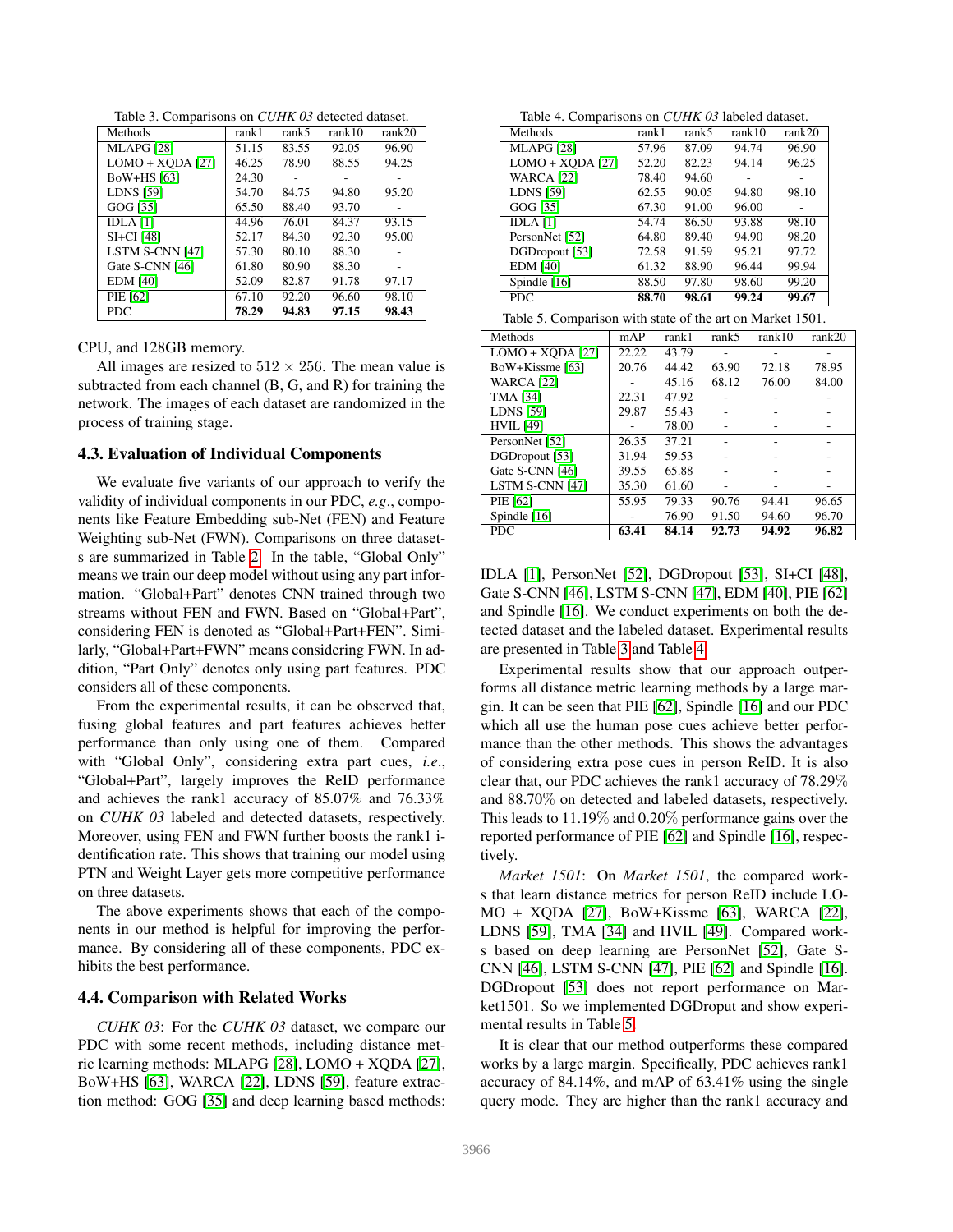<span id="page-6-0"></span>Table 3. Comparisons on *CUHK 03* detected dataset.

| Methods            | rank1 | rank5 | rank10 | rank20 |
|--------------------|-------|-------|--------|--------|
| <b>MLAPG</b> [28]  | 51.15 | 83.55 | 92.05  | 96.90  |
| $LOMO + XQDA [27]$ | 46.25 | 78.90 | 88.55  | 94.25  |
| BoW+HS [63]        | 24.30 |       |        |        |
| <b>LDNS</b> [59]   | 54.70 | 84.75 | 94.80  | 95.20  |
| GOG [35]           | 65.50 | 88.40 | 93.70  |        |
| IDLA $[1]$         | 44.96 | 76.01 | 84.37  | 93.15  |
| SI+CI [48]         | 52.17 | 84.30 | 92.30  | 95.00  |
| LSTM S-CNN [47]    | 57.30 | 80.10 | 88.30  |        |
| Gate S-CNN [46]    | 61.80 | 80.90 | 88.30  |        |
| <b>EDM [40]</b>    | 52.09 | 82.87 | 91.78  | 97.17  |
| PIE [62]           | 67.10 | 92.20 | 96.60  | 98.10  |
| <b>PDC</b>         | 78.29 | 94.83 | 97.15  | 98.43  |

CPU, and 128GB memory.

All images are resized to  $512 \times 256$ . The mean value is subtracted from each channel (B, G, and R) for training the network. The images of each dataset are randomized in the process of training stage.

#### 4.3. Evaluation of Individual Components

We evaluate five variants of our approach to verify the validity of individual components in our PDC, *e.g*., components like Feature Embedding sub-Net (FEN) and Feature Weighting sub-Net (FWN). Comparisons on three datasets are summarized in Table [2.](#page-5-0) In the table, "Global Only" means we train our deep model without using any part information. "Global+Part" denotes CNN trained through two streams without FEN and FWN. Based on "Global+Part", considering FEN is denoted as "Global+Part+FEN". Similarly, "Global+Part+FWN" means considering FWN. In addition, "Part Only" denotes only using part features. PDC considers all of these components.

From the experimental results, it can be observed that, fusing global features and part features achieves better performance than only using one of them. Compared with "Global Only", considering extra part cues, *i.e*., "Global+Part", largely improves the ReID performance and achieves the rank1 accuracy of 85.07% and 76.33% on *CUHK 03* labeled and detected datasets, respectively. Moreover, using FEN and FWN further boosts the rank1 identification rate. This shows that training our model using PTN and Weight Layer gets more competitive performance on three datasets.

The above experiments shows that each of the components in our method is helpful for improving the performance. By considering all of these components, PDC exhibits the best performance.

#### 4.4. Comparison with Related Works

*CUHK 03*: For the *CUHK 03* dataset, we compare our PDC with some recent methods, including distance metric learning methods: MLAPG [\[28\]](#page-8-15), LOMO + XQDA [\[27\]](#page-8-12), BoW+HS [\[63\]](#page-9-9), WARCA [\[22\]](#page-8-37), LDNS [\[59\]](#page-9-8), feature extraction method: GOG [\[35\]](#page-8-36) and deep learning based methods:

<span id="page-6-1"></span>Table 4. Comparisons on *CUHK 03* labeled dataset.

| Methods            | raore il companionio en contri es nacelea aalascii<br>rank1 | rank5 | rank10 | rank20 |
|--------------------|-------------------------------------------------------------|-------|--------|--------|
| <b>MLAPG</b> [28]  | 57.96                                                       | 87.09 | 94.74  | 96.90  |
| $LOMO + XQDA [27]$ | 52.20                                                       | 82.23 | 94.14  | 96.25  |
| <b>WARCA</b> [22]  | 78.40                                                       | 94.60 |        |        |
| <b>LDNS</b> [59]   | 62.55                                                       | 90.05 | 94.80  | 98.10  |
| GOG [35]           | 67.30                                                       | 91.00 | 96.00  |        |
| IDLA $[1]$         | 54.74                                                       | 86.50 | 93.88  | 98.10  |
| PersonNet [52]     | 64.80                                                       | 89.40 | 94.90  | 98.20  |
| DGDropout [53]     | 72.58                                                       | 91.59 | 95.21  | 97.72  |
| <b>EDM</b> [40]    | 61.32                                                       | 88.90 | 96.44  | 99.94  |
| Spindle [16]       | 88.50                                                       | 97.80 | 98.60  | 99.20  |
| <b>PDC</b>         | 88.70                                                       | 98.61 | 99.24  | 99.67  |

<span id="page-6-2"></span>

| Table 5. Comparison with state of the art on Market 1501. |  |  |  |  |  |
|-----------------------------------------------------------|--|--|--|--|--|
|                                                           |  |  |  |  |  |

| Methods            | mAP   | rank1 | rank5 | rank10 | rank20 |
|--------------------|-------|-------|-------|--------|--------|
| $LOMO + XQDA [27]$ | 22.22 | 43.79 |       |        |        |
| BoW+Kissme [63]    | 20.76 | 44.42 | 63.90 | 72.18  | 78.95  |
| <b>WARCA</b> [22]  |       | 45.16 | 68.12 | 76.00  | 84.00  |
| <b>TMA [34]</b>    | 22.31 | 47.92 |       |        |        |
| <b>LDNS</b> [59]   | 29.87 | 55.43 |       |        |        |
| <b>HVIL [49]</b>   |       | 78.00 |       |        |        |
| PersonNet [52]     | 26.35 | 37.21 |       |        |        |
| DGDropout [53]     | 31.94 | 59.53 |       |        |        |
| Gate S-CNN [46]    | 39.55 | 65.88 |       |        |        |
| LSTM S-CNN [47]    | 35.30 | 61.60 |       |        |        |
| PIE [62]           | 55.95 | 79.33 | 90.76 | 94.41  | 96.65  |
| Spindle $[16]$     |       | 76.90 | 91.50 | 94.60  | 96.70  |
| <b>PDC</b>         | 63.41 | 84.14 | 92.73 | 94.92  | 96.82  |

IDLA [\[1\]](#page-8-24), PersonNet [\[52\]](#page-9-23), DGDropout [\[53\]](#page-9-11), SI+CI [\[48\]](#page-9-21), Gate S-CNN [\[46\]](#page-9-12), LSTM S-CNN [\[47\]](#page-9-17), EDM [\[40\]](#page-9-18), PIE [\[62\]](#page-9-19) and Spindle [\[16\]](#page-8-27). We conduct experiments on both the detected dataset and the labeled dataset. Experimental results are presented in Table [3](#page-6-0) and Table [4.](#page-6-1)

Experimental results show that our approach outperforms all distance metric learning methods by a large margin. It can be seen that PIE [\[62\]](#page-9-19), Spindle [\[16\]](#page-8-27) and our PDC which all use the human pose cues achieve better performance than the other methods. This shows the advantages of considering extra pose cues in person ReID. It is also clear that, our PDC achieves the rank1 accuracy of 78.29% and 88.70% on detected and labeled datasets, respectively. This leads to 11.19% and 0.20% performance gains over the reported performance of PIE [\[62\]](#page-9-19) and Spindle [\[16\]](#page-8-27), respectively.

*Market 1501*: On *Market 1501*, the compared works that learn distance metrics for person ReID include LO-MO + XQDA [\[27\]](#page-8-12), BoW+Kissme [\[63\]](#page-9-9), WARCA [\[22\]](#page-8-37), LDNS [\[59\]](#page-9-8), TMA [\[34\]](#page-8-38) and HVIL [\[49\]](#page-9-24). Compared works based on deep learning are PersonNet [\[52\]](#page-9-23), Gate S-CNN [\[46\]](#page-9-12), LSTM S-CNN [\[47\]](#page-9-17), PIE [\[62\]](#page-9-19) and Spindle [\[16\]](#page-8-27). DGDropout [\[53\]](#page-9-11) does not report performance on Market1501. So we implemented DGDroput and show experimental results in Table [5.](#page-6-2)

It is clear that our method outperforms these compared works by a large margin. Specifically, PDC achieves rank1 accuracy of 84.14%, and mAP of 63.41% using the single query mode. They are higher than the rank1 accuracy and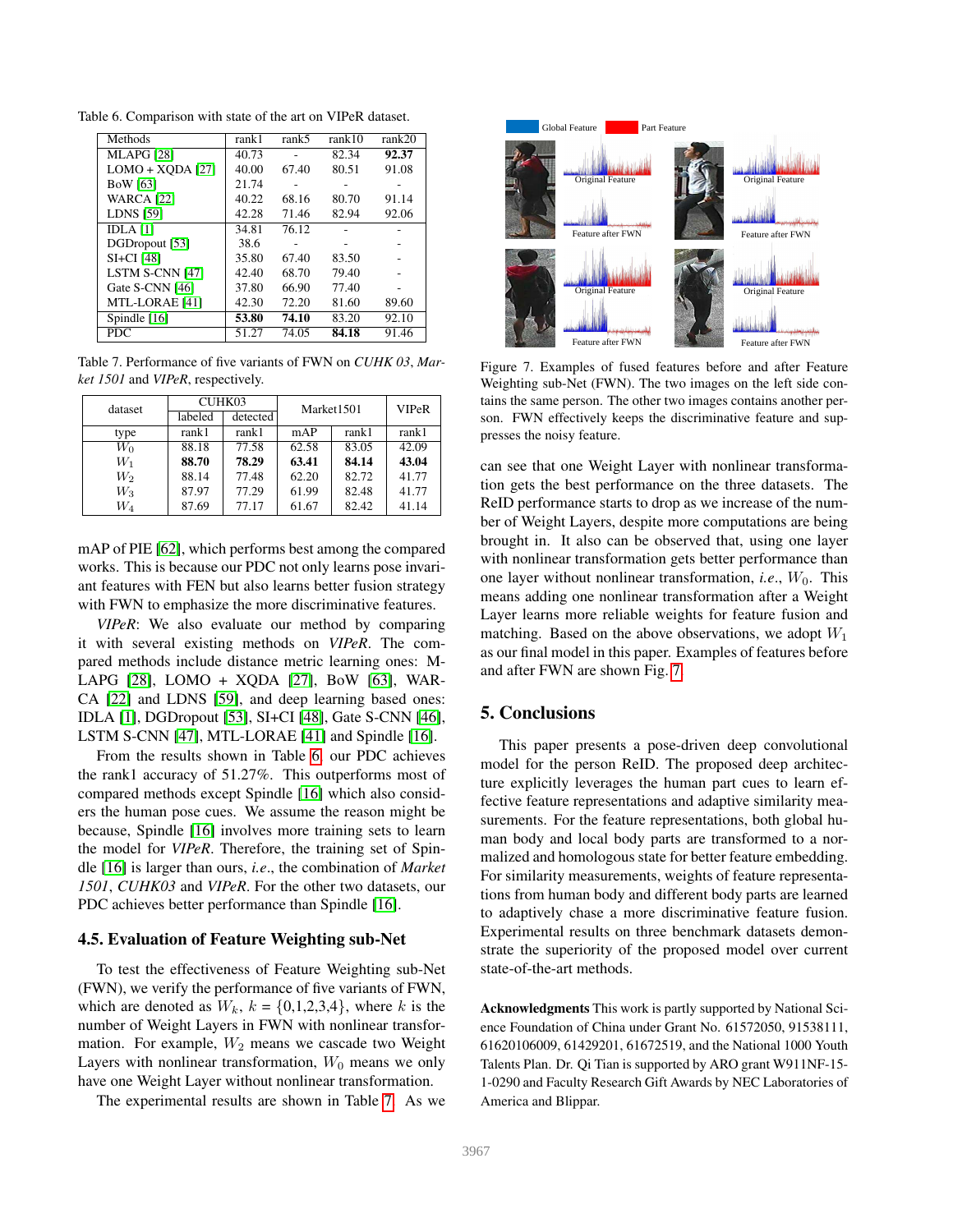Table 6. Comparison with state of the art on VIPeR dataset.

<span id="page-7-0"></span>

| Methods            | rank1 | rank5 | rank10 | rank20 |
|--------------------|-------|-------|--------|--------|
| <b>MLAPG</b> [28]  | 40.73 |       | 82.34  | 92.37  |
| $LOMO + XQDA [27]$ | 40.00 | 67.40 | 80.51  | 91.08  |
| <b>BoW</b> [63]    | 21.74 |       |        |        |
| <b>WARCA</b> [22]  | 40.22 | 68.16 | 80.70  | 91.14  |
| <b>LDNS</b> [59]   | 42.28 | 71.46 | 82.94  | 92.06  |
| IDLA $[1]$         | 34.81 | 76.12 |        |        |
| DGDropout [53]     | 38.6  |       |        |        |
| $SI+CI$ [48]       | 35.80 | 67.40 | 83.50  |        |
| LSTM S-CNN [47]    | 42.40 | 68.70 | 79.40  |        |
| Gate S-CNN [46]    | 37.80 | 66.90 | 77.40  |        |
| MTL-LORAE [41]     | 42.30 | 72.20 | 81.60  | 89.60  |
| Spindle $[16]$     | 53.80 | 74.10 | 83.20  | 92.10  |
| <b>PDC</b>         | 51.27 | 74.05 | 84.18  | 91.46  |

<span id="page-7-1"></span>Table 7. Performance of five variants of FWN on *CUHK 03*, *Market 1501* and *VIPeR*, respectively.

| dataset          | CUHK03  |          | Market1501 | <b>VIPeR</b> |       |
|------------------|---------|----------|------------|--------------|-------|
|                  | labeled | detected |            |              |       |
| type             | rank1   | rank1    | mAP        | rank1        | rank1 |
| $W_0$            | 88.18   | 77.58    | 62.58      | 83.05        | 42.09 |
| $W_1$            | 88.70   | 78.29    | 63.41      | 84.14        | 43.04 |
| $W_2$            | 88.14   | 77.48    | 62.20      | 82.72        | 41.77 |
| $W_3$            | 87.97   | 77.29    | 61.99      | 82.48        | 41.77 |
| $\mathit{W}_{4}$ | 87.69   | 77.17    | 61.67      | 82.42        | 41.14 |

mAP of PIE [\[62\]](#page-9-19), which performs best among the compared works. This is because our PDC not only learns pose invariant features with FEN but also learns better fusion strategy with FWN to emphasize the more discriminative features.

*VIPeR*: We also evaluate our method by comparing it with several existing methods on *VIPeR*. The compared methods include distance metric learning ones: M-LAPG [\[28\]](#page-8-15), LOMO + XQDA [\[27\]](#page-8-12), BoW [\[63\]](#page-9-9), WAR-CA [\[22\]](#page-8-37) and LDNS [\[59\]](#page-9-8), and deep learning based ones: IDLA [\[1\]](#page-8-24), DGDropout [\[53\]](#page-9-11), SI+CI [\[48\]](#page-9-21), Gate S-CNN [\[46\]](#page-9-12), LSTM S-CNN [\[47\]](#page-9-17), MTL-LORAE [\[41\]](#page-9-25) and Spindle [\[16\]](#page-8-27).

From the results shown in Table [6,](#page-7-0) our PDC achieves the rank1 accuracy of 51.27%. This outperforms most of compared methods except Spindle [\[16\]](#page-8-27) which also considers the human pose cues. We assume the reason might be because, Spindle [\[16\]](#page-8-27) involves more training sets to learn the model for *VIPeR*. Therefore, the training set of Spindle [\[16\]](#page-8-27) is larger than ours, *i.e*., the combination of *Market 1501*, *CUHK03* and *VIPeR*. For the other two datasets, our PDC achieves better performance than Spindle [\[16\]](#page-8-27).

#### 4.5. Evaluation of Feature Weighting sub-Net

To test the effectiveness of Feature Weighting sub-Net (FWN), we verify the performance of five variants of FWN, which are denoted as  $W_k$ ,  $k = \{0,1,2,3,4\}$ , where k is the number of Weight Layers in FWN with nonlinear transformation. For example,  $W_2$  means we cascade two Weight Layers with nonlinear transformation,  $W_0$  means we only have one Weight Layer without nonlinear transformation.

The experimental results are shown in Table [7.](#page-7-1) As we



<span id="page-7-2"></span>Figure 7. Examples of fused features before and after Feature Weighting sub-Net (FWN). The two images on the left side contains the same person. The other two images contains another person. FWN effectively keeps the discriminative feature and suppresses the noisy feature.

can see that one Weight Layer with nonlinear transformation gets the best performance on the three datasets. The ReID performance starts to drop as we increase of the number of Weight Layers, despite more computations are being brought in. It also can be observed that, using one layer with nonlinear transformation gets better performance than one layer without nonlinear transformation, *i.e.*,  $W_0$ . This means adding one nonlinear transformation after a Weight Layer learns more reliable weights for feature fusion and matching. Based on the above observations, we adopt  $W_1$ as our final model in this paper. Examples of features before and after FWN are shown Fig. [7.](#page-7-2)

## 5. Conclusions

This paper presents a pose-driven deep convolutional model for the person ReID. The proposed deep architecture explicitly leverages the human part cues to learn effective feature representations and adaptive similarity measurements. For the feature representations, both global human body and local body parts are transformed to a normalized and homologous state for better feature embedding. For similarity measurements, weights of feature representations from human body and different body parts are learned to adaptively chase a more discriminative feature fusion. Experimental results on three benchmark datasets demonstrate the superiority of the proposed model over current state-of-the-art methods.

Acknowledgments This work is partly supported by National Science Foundation of China under Grant No. 61572050, 91538111, 61620106009, 61429201, 61672519, and the National 1000 Youth Talents Plan. Dr. Qi Tian is supported by ARO grant W911NF-15- 1-0290 and Faculty Research Gift Awards by NEC Laboratories of America and Blippar.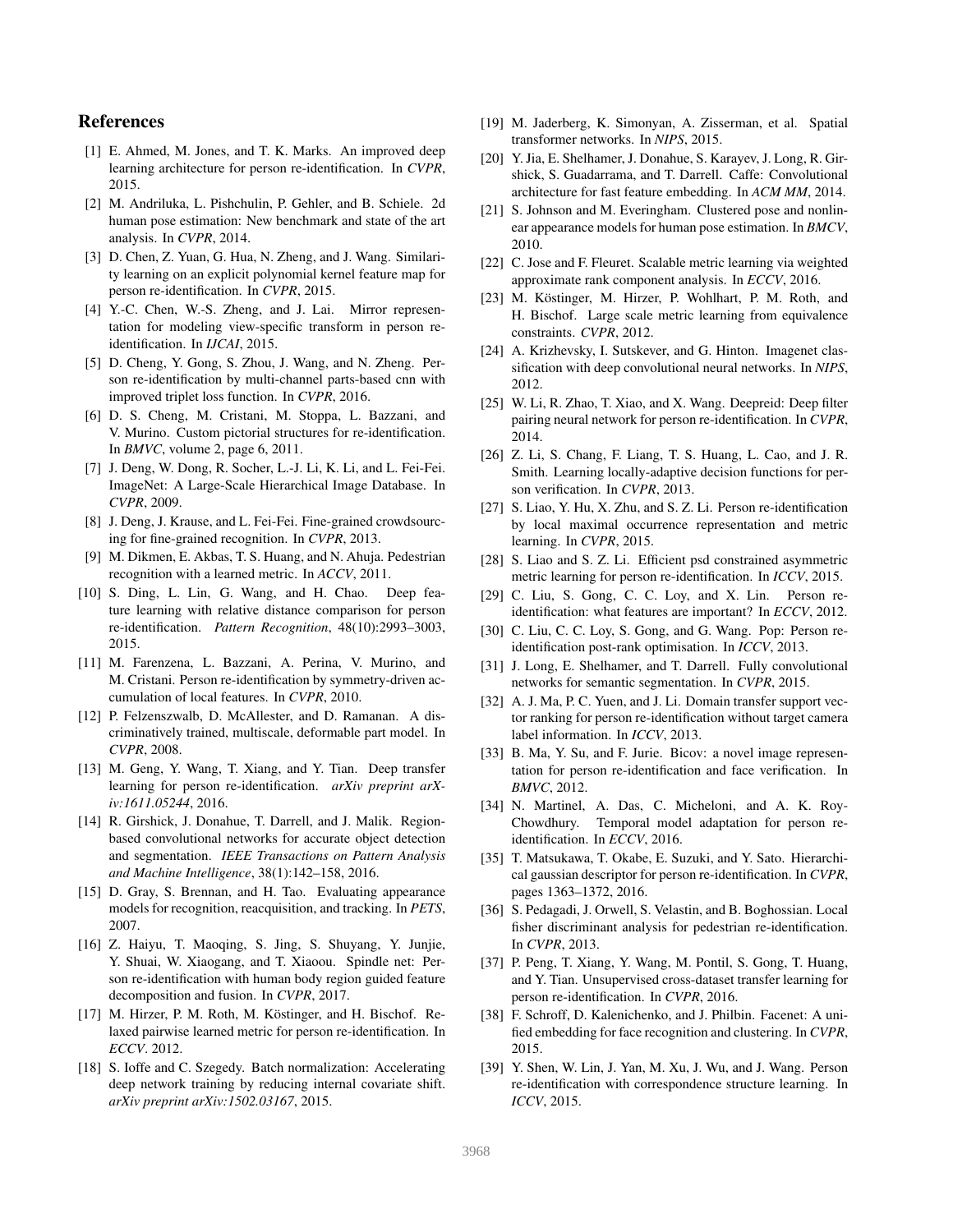# References

- <span id="page-8-24"></span>[1] E. Ahmed, M. Jones, and T. K. Marks. An improved deep learning architecture for person re-identification. In *CVPR*, 2015.
- <span id="page-8-31"></span>[2] M. Andriluka, L. Pishchulin, P. Gehler, and B. Schiele. 2d human pose estimation: New benchmark and state of the art analysis. In *CVPR*, 2014.
- <span id="page-8-11"></span>[3] D. Chen, Z. Yuan, G. Hua, N. Zheng, and J. Wang. Similarity learning on an explicit polynomial kernel feature map for person re-identification. In *CVPR*, 2015.
- <span id="page-8-13"></span>[4] Y.-C. Chen, W.-S. Zheng, and J. Lai. Mirror representation for modeling view-specific transform in person reidentification. In *IJCAI*, 2015.
- <span id="page-8-26"></span>[5] D. Cheng, Y. Gong, S. Zhou, J. Wang, and N. Zheng. Person re-identification by multi-channel parts-based cnn with improved triplet loss function. In *CVPR*, 2016.
- <span id="page-8-1"></span>[6] D. S. Cheng, M. Cristani, M. Stoppa, L. Bazzani, and V. Murino. Custom pictorial structures for re-identification. In *BMVC*, volume 2, page 6, 2011.
- <span id="page-8-28"></span>[7] J. Deng, W. Dong, R. Socher, L.-J. Li, K. Li, and L. Fei-Fei. ImageNet: A Large-Scale Hierarchical Image Database. In *CVPR*, 2009.
- <span id="page-8-22"></span>[8] J. Deng, J. Krause, and L. Fei-Fei. Fine-grained crowdsourcing for fine-grained recognition. In *CVPR*, 2013.
- <span id="page-8-5"></span>[9] M. Dikmen, E. Akbas, T. S. Huang, and N. Ahuja. Pedestrian recognition with a learned metric. In *ACCV*, 2011.
- <span id="page-8-16"></span>[10] S. Ding, L. Lin, G. Wang, and H. Chao. Deep feature learning with relative distance comparison for person re-identification. *Pattern Recognition*, 48(10):2993–3003, 2015.
- <span id="page-8-0"></span>[11] M. Farenzena, L. Bazzani, A. Perina, V. Murino, and M. Cristani. Person re-identification by symmetry-driven accumulation of local features. In *CVPR*, 2010.
- <span id="page-8-34"></span>[12] P. Felzenszwalb, D. McAllester, and D. Ramanan. A discriminatively trained, multiscale, deformable part model. In *CVPR*, 2008.
- <span id="page-8-25"></span>[13] M. Geng, Y. Wang, T. Xiang, and Y. Tian. Deep transfer learning for person re-identification. *arXiv preprint arXiv:1611.05244*, 2016.
- <span id="page-8-19"></span>[14] R. Girshick, J. Donahue, T. Darrell, and J. Malik. Regionbased convolutional networks for accurate object detection and segmentation. *IEEE Transactions on Pattern Analysis and Machine Intelligence*, 38(1):142–158, 2016.
- <span id="page-8-33"></span>[15] D. Gray, S. Brennan, and H. Tao. Evaluating appearance models for recognition, reacquisition, and tracking. In *PETS*, 2007.
- <span id="page-8-27"></span>[16] Z. Haiyu, T. Maoqing, S. Jing, S. Shuyang, Y. Junjie, Y. Shuai, W. Xiaogang, and T. Xiaoou. Spindle net: Person re-identification with human body region guided feature decomposition and fusion. In *CVPR*, 2017.
- <span id="page-8-6"></span>[17] M. Hirzer, P. M. Roth, M. Köstinger, and H. Bischof. Relaxed pairwise learned metric for person re-identification. In *ECCV*. 2012.
- <span id="page-8-29"></span>[18] S. Ioffe and C. Szegedy. Batch normalization: Accelerating deep network training by reducing internal covariate shift. *arXiv preprint arXiv:1502.03167*, 2015.
- <span id="page-8-32"></span>[19] M. Jaderberg, K. Simonyan, A. Zisserman, et al. Spatial transformer networks. In *NIPS*, 2015.
- <span id="page-8-35"></span>[20] Y. Jia, E. Shelhamer, J. Donahue, S. Karayev, J. Long, R. Girshick, S. Guadarrama, and T. Darrell. Caffe: Convolutional architecture for fast feature embedding. In *ACM MM*, 2014.
- <span id="page-8-30"></span>[21] S. Johnson and M. Everingham. Clustered pose and nonlinear appearance models for human pose estimation. In *BMCV*, 2010.
- <span id="page-8-37"></span>[22] C. Jose and F. Fleuret. Scalable metric learning via weighted approximate rank component analysis. In *ECCV*, 2016.
- <span id="page-8-8"></span>[23] M. Köstinger, M. Hirzer, P. Wohlhart, P. M. Roth, and H. Bischof. Large scale metric learning from equivalence constraints. *CVPR*, 2012.
- <span id="page-8-18"></span>[24] A. Krizhevsky, I. Sutskever, and G. Hinton. Imagenet classification with deep convolutional neural networks. In *NIPS*, 2012.
- <span id="page-8-23"></span>[25] W. Li, R. Zhao, T. Xiao, and X. Wang. Deepreid: Deep filter pairing neural network for person re-identification. In *CVPR*, 2014.
- <span id="page-8-10"></span>[26] Z. Li, S. Chang, F. Liang, T. S. Huang, L. Cao, and J. R. Smith. Learning locally-adaptive decision functions for person verification. In *CVPR*, 2013.
- <span id="page-8-12"></span>[27] S. Liao, Y. Hu, X. Zhu, and S. Z. Li. Person re-identification by local maximal occurrence representation and metric learning. In *CVPR*, 2015.
- <span id="page-8-15"></span>[28] S. Liao and S. Z. Li. Efficient psd constrained asymmetric metric learning for person re-identification. In *ICCV*, 2015.
- <span id="page-8-3"></span>[29] C. Liu, S. Gong, C. C. Loy, and X. Lin. Person reidentification: what features are important? In *ECCV*, 2012.
- <span id="page-8-9"></span>[30] C. Liu, C. C. Loy, S. Gong, and G. Wang. Pop: Person reidentification post-rank optimisation. In *ICCV*, 2013.
- <span id="page-8-20"></span>[31] J. Long, E. Shelhamer, and T. Darrell. Fully convolutional networks for semantic segmentation. In *CVPR*, 2015.
- <span id="page-8-4"></span>[32] A. J. Ma, P. C. Yuen, and J. Li. Domain transfer support vector ranking for person re-identification without target camera label information. In *ICCV*, 2013.
- <span id="page-8-2"></span>[33] B. Ma, Y. Su, and F. Jurie. Bicov: a novel image representation for person re-identification and face verification. In *BMVC*, 2012.
- <span id="page-8-38"></span>[34] N. Martinel, A. Das, C. Micheloni, and A. K. Roy-Chowdhury. Temporal model adaptation for person reidentification. In *ECCV*, 2016.
- <span id="page-8-36"></span>[35] T. Matsukawa, T. Okabe, E. Suzuki, and Y. Sato. Hierarchical gaussian descriptor for person re-identification. In *CVPR*, pages 1363–1372, 2016.
- <span id="page-8-7"></span>[36] S. Pedagadi, J. Orwell, S. Velastin, and B. Boghossian. Local fisher discriminant analysis for pedestrian re-identification. In *CVPR*, 2013.
- <span id="page-8-17"></span>[37] P. Peng, T. Xiang, Y. Wang, M. Pontil, S. Gong, T. Huang, and Y. Tian. Unsupervised cross-dataset transfer learning for person re-identification. In *CVPR*, 2016.
- <span id="page-8-21"></span>[38] F. Schroff, D. Kalenichenko, and J. Philbin. Facenet: A unified embedding for face recognition and clustering. In *CVPR*, 2015.
- <span id="page-8-14"></span>[39] Y. Shen, W. Lin, J. Yan, M. Xu, J. Wu, and J. Wang. Person re-identification with correspondence structure learning. In *ICCV*, 2015.